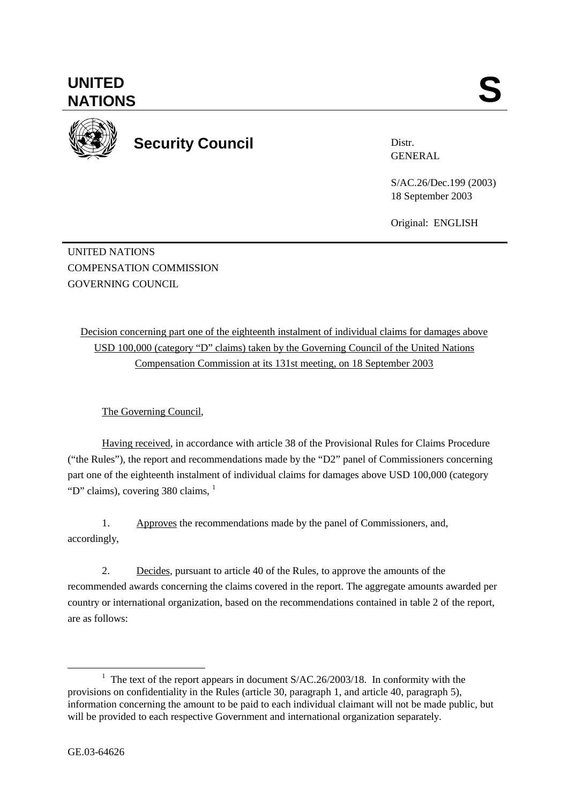

**Security Council** 

Distr. GENERAL

S/AC.26/Dec.199 (2003) 18 September 2003

Original: ENGLISH

UNITED NATIONS COMPENSATION COMMISSION GOVERNING COUNCIL

Decision concerning part one of the eighteenth instalment of individual claims for damages above USD 100,000 (category "D" claims) taken by the Governing Council of the United Nations Compensation Commission at its 131st meeting, on 18 September 2003

The Governing Council,

Having received, in accordance with article 38 of the Provisional Rules for Claims Procedure ("the Rules"), the report and recommendations made by the "D2" panel of Commissioners concerning part one of the eighteenth instalment of individual claims for damages above USD 100,000 (category "D" claims), covering 380 claims,  $<sup>1</sup>$ </sup>

1. Approves the recommendations made by the panel of Commissioners, and, accordingly,

2. Decides, pursuant to article 40 of the Rules, to approve the amounts of the recommended awards concerning the claims covered in the report. The aggregate amounts awarded per country or international organization, based on the recommendations contained in table 2 of the report, are as follows:

<sup>&</sup>lt;u>1</u> <sup>1</sup> The text of the report appears in document  $S/AC.26/2003/18$ . In conformity with the provisions on confidentiality in the Rules (article 30, paragraph 1, and article 40, paragraph 5), information concerning the amount to be paid to each individual claimant will not be made public, but will be provided to each respective Government and international organization separately.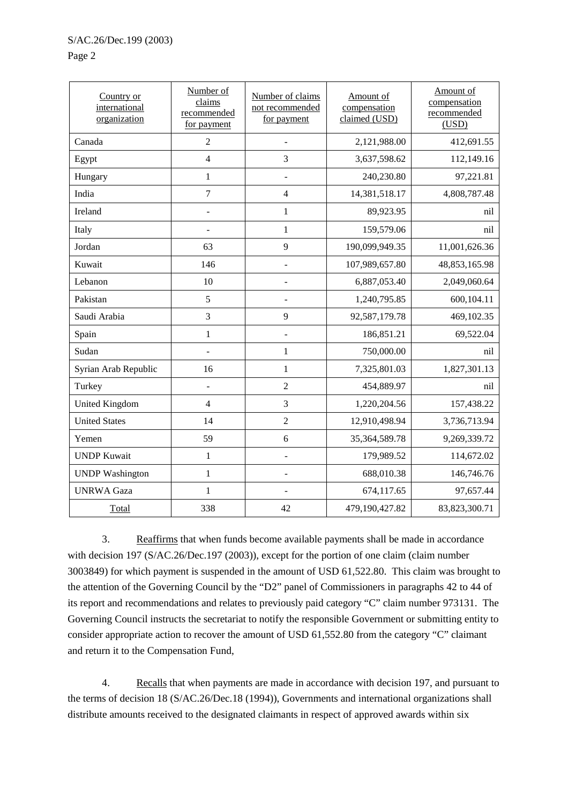## Page 2

| Country or<br>international<br>organization | Number of<br>claims<br>recommended<br>for payment | Number of claims<br>not recommended<br>for payment | Amount of<br>compensation<br>claimed (USD) | Amount of<br>compensation<br>recommended<br>(USD) |
|---------------------------------------------|---------------------------------------------------|----------------------------------------------------|--------------------------------------------|---------------------------------------------------|
| Canada                                      | $\overline{2}$                                    |                                                    | 2,121,988.00                               | 412,691.55                                        |
| Egypt                                       | $\overline{4}$                                    | 3                                                  | 3,637,598.62                               | 112,149.16                                        |
| Hungary                                     | $\mathbf{1}$                                      |                                                    | 240,230.80                                 | 97,221.81                                         |
| India                                       | $\overline{7}$                                    | $\overline{4}$                                     | 14,381,518.17                              | 4,808,787.48                                      |
| Ireland                                     | $\overline{a}$                                    | 1                                                  | 89,923.95                                  | nil                                               |
| Italy                                       |                                                   | $\mathbf{1}$                                       | 159,579.06                                 | nil                                               |
| Jordan                                      | 63                                                | 9                                                  | 190,099,949.35                             | 11,001,626.36                                     |
| Kuwait                                      | 146                                               |                                                    | 107,989,657.80                             | 48,853,165.98                                     |
| Lebanon                                     | 10                                                |                                                    | 6,887,053.40                               | 2,049,060.64                                      |
| Pakistan                                    | 5                                                 |                                                    | 1,240,795.85                               | 600,104.11                                        |
| Saudi Arabia                                | 3                                                 | 9                                                  | 92,587,179.78                              | 469,102.35                                        |
| Spain                                       | $\mathbf{1}$                                      |                                                    | 186,851.21                                 | 69,522.04                                         |
| Sudan                                       | $\overline{\phantom{a}}$                          | $\mathbf{1}$                                       | 750,000.00                                 | nil                                               |
| Syrian Arab Republic                        | 16                                                | $\mathbf{1}$                                       | 7,325,801.03                               | 1,827,301.13                                      |
| Turkey                                      | $\overline{a}$                                    | $\overline{2}$                                     | 454,889.97                                 | nil                                               |
| <b>United Kingdom</b>                       | $\overline{4}$                                    | 3                                                  | 1,220,204.56                               | 157,438.22                                        |
| <b>United States</b>                        | 14                                                | $\overline{2}$                                     | 12,910,498.94                              | 3,736,713.94                                      |
| Yemen                                       | 59                                                | 6                                                  | 35,364,589.78                              | 9,269,339.72                                      |
| <b>UNDP Kuwait</b>                          | $\mathbf{1}$                                      |                                                    | 179,989.52                                 | 114,672.02                                        |
| <b>UNDP</b> Washington                      | $\mathbf{1}$                                      |                                                    | 688,010.38                                 | 146,746.76                                        |
| <b>UNRWA Gaza</b>                           | 1                                                 |                                                    | 674,117.65                                 | 97,657.44                                         |
| Total                                       | 338                                               | 42                                                 | 479,190,427.82                             | 83,823,300.71                                     |

3. Reaffirms that when funds become available payments shall be made in accordance with decision 197 (S/AC.26/Dec.197 (2003)), except for the portion of one claim (claim number 3003849) for which payment is suspended in the amount of USD 61,522.80. This claim was brought to the attention of the Governing Council by the "D2" panel of Commissioners in paragraphs 42 to 44 of its report and recommendations and relates to previously paid category "C" claim number 973131. The Governing Council instructs the secretariat to notify the responsible Government or submitting entity to consider appropriate action to recover the amount of USD 61,552.80 from the category "C" claimant and return it to the Compensation Fund,

4. Recalls that when payments are made in accordance with decision 197, and pursuant to the terms of decision 18 (S/AC.26/Dec.18 (1994)), Governments and international organizations shall distribute amounts received to the designated claimants in respect of approved awards within six